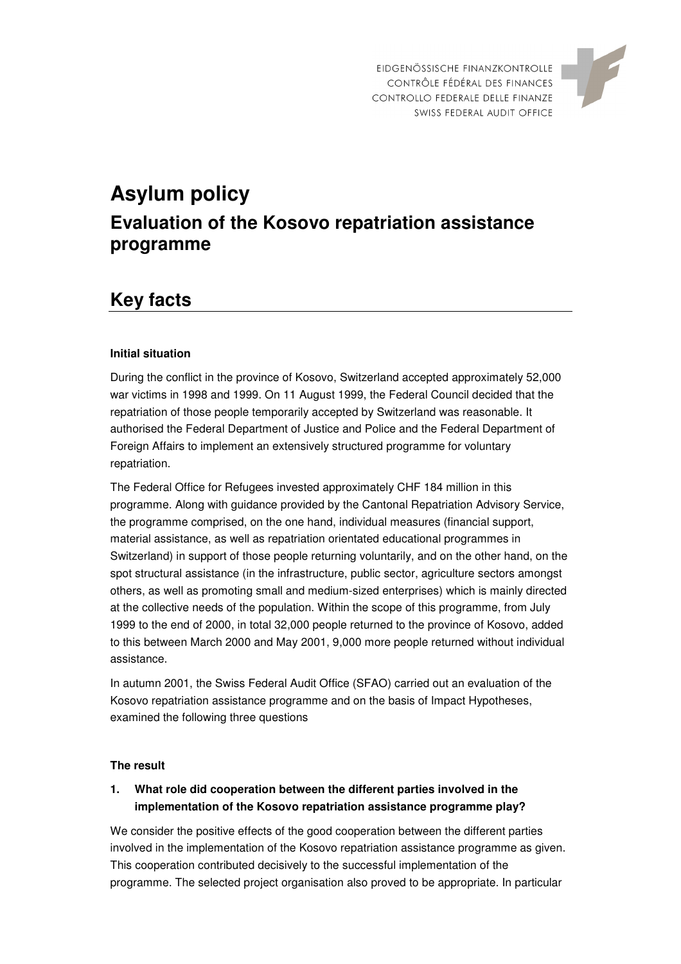



# **Asylum policy Evaluation of the Kosovo repatriation assistance programme**

## **Key facts**

#### **Initial situation**

During the conflict in the province of Kosovo, Switzerland accepted approximately 52,000 war victims in 1998 and 1999. On 11 August 1999, the Federal Council decided that the repatriation of those people temporarily accepted by Switzerland was reasonable. It authorised the Federal Department of Justice and Police and the Federal Department of Foreign Affairs to implement an extensively structured programme for voluntary repatriation.

The Federal Office for Refugees invested approximately CHF 184 million in this programme. Along with guidance provided by the Cantonal Repatriation Advisory Service, the programme comprised, on the one hand, individual measures (financial support, material assistance, as well as repatriation orientated educational programmes in Switzerland) in support of those people returning voluntarily, and on the other hand, on the spot structural assistance (in the infrastructure, public sector, agriculture sectors amongst others, as well as promoting small and medium-sized enterprises) which is mainly directed at the collective needs of the population. Within the scope of this programme, from July 1999 to the end of 2000, in total 32,000 people returned to the province of Kosovo, added to this between March 2000 and May 2001, 9,000 more people returned without individual assistance.

In autumn 2001, the Swiss Federal Audit Office (SFAO) carried out an evaluation of the Kosovo repatriation assistance programme and on the basis of Impact Hypotheses, examined the following three questions

#### **The result**

### **1. What role did cooperation between the different parties involved in the implementation of the Kosovo repatriation assistance programme play?**

We consider the positive effects of the good cooperation between the different parties involved in the implementation of the Kosovo repatriation assistance programme as given. This cooperation contributed decisively to the successful implementation of the programme. The selected project organisation also proved to be appropriate. In particular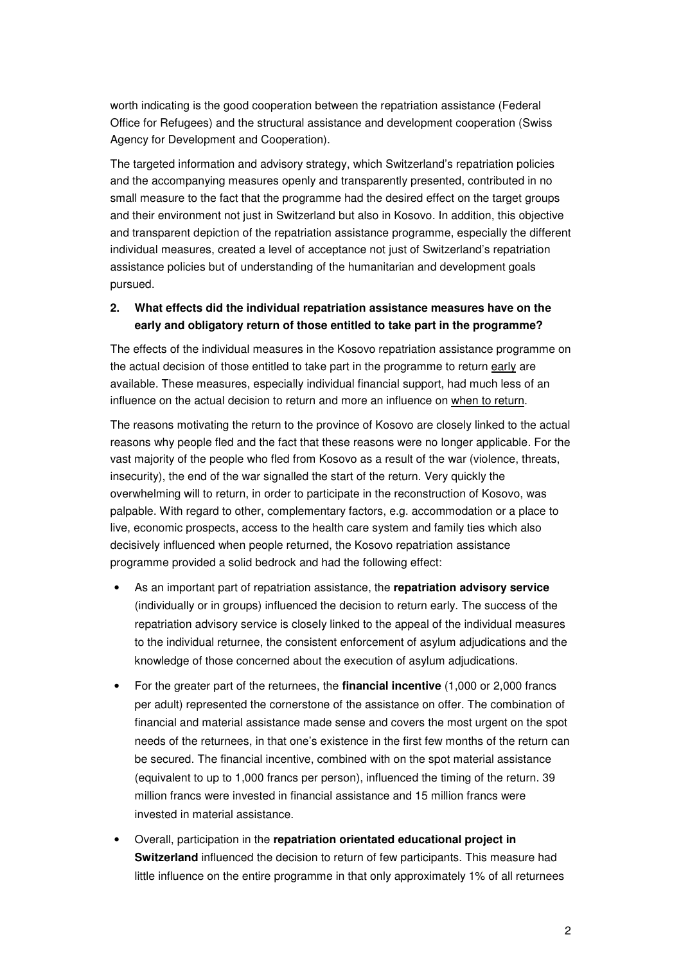worth indicating is the good cooperation between the repatriation assistance (Federal Office for Refugees) and the structural assistance and development cooperation (Swiss Agency for Development and Cooperation).

The targeted information and advisory strategy, which Switzerland's repatriation policies and the accompanying measures openly and transparently presented, contributed in no small measure to the fact that the programme had the desired effect on the target groups and their environment not just in Switzerland but also in Kosovo. In addition, this objective and transparent depiction of the repatriation assistance programme, especially the different individual measures, created a level of acceptance not just of Switzerland's repatriation assistance policies but of understanding of the humanitarian and development goals pursued.

#### **2. What effects did the individual repatriation assistance measures have on the early and obligatory return of those entitled to take part in the programme?**

The effects of the individual measures in the Kosovo repatriation assistance programme on the actual decision of those entitled to take part in the programme to return early are available. These measures, especially individual financial support, had much less of an influence on the actual decision to return and more an influence on when to return.

The reasons motivating the return to the province of Kosovo are closely linked to the actual reasons why people fled and the fact that these reasons were no longer applicable. For the vast majority of the people who fled from Kosovo as a result of the war (violence, threats, insecurity), the end of the war signalled the start of the return. Very quickly the overwhelming will to return, in order to participate in the reconstruction of Kosovo, was palpable. With regard to other, complementary factors, e.g. accommodation or a place to live, economic prospects, access to the health care system and family ties which also decisively influenced when people returned, the Kosovo repatriation assistance programme provided a solid bedrock and had the following effect:

- As an important part of repatriation assistance, the **repatriation advisory service** (individually or in groups) influenced the decision to return early. The success of the repatriation advisory service is closely linked to the appeal of the individual measures to the individual returnee, the consistent enforcement of asylum adjudications and the knowledge of those concerned about the execution of asylum adjudications.
- For the greater part of the returnees, the **financial incentive** (1,000 or 2,000 francs per adult) represented the cornerstone of the assistance on offer. The combination of financial and material assistance made sense and covers the most urgent on the spot needs of the returnees, in that one's existence in the first few months of the return can be secured. The financial incentive, combined with on the spot material assistance (equivalent to up to 1,000 francs per person), influenced the timing of the return. 39 million francs were invested in financial assistance and 15 million francs were invested in material assistance.
- Overall, participation in the **repatriation orientated educational project in Switzerland** influenced the decision to return of few participants. This measure had little influence on the entire programme in that only approximately 1% of all returnees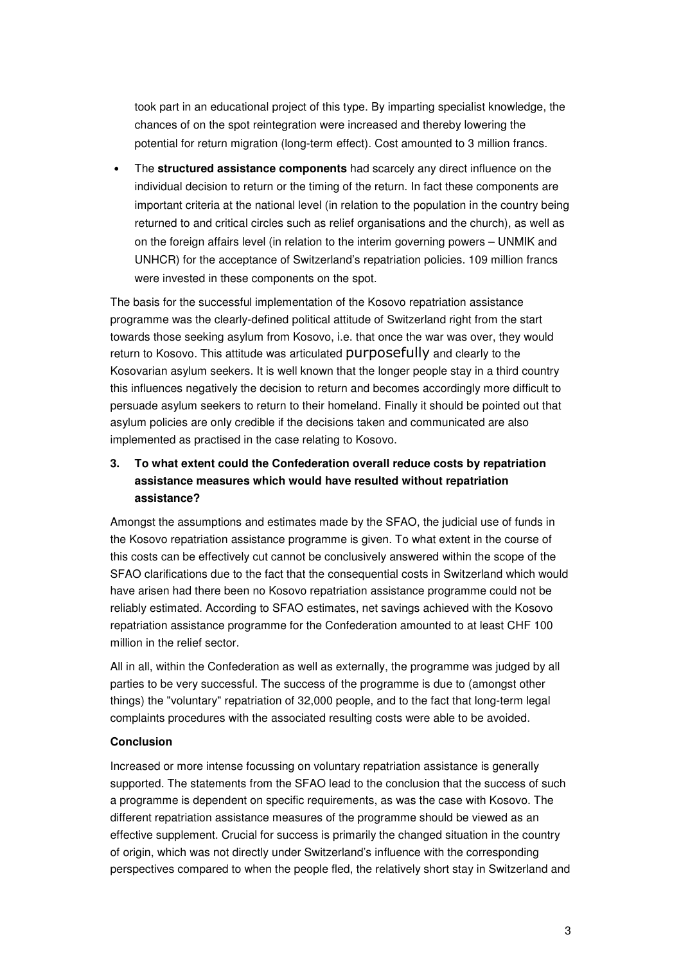took part in an educational project of this type. By imparting specialist knowledge, the chances of on the spot reintegration were increased and thereby lowering the potential for return migration (long-term effect). Cost amounted to 3 million francs.

• The **structured assistance components** had scarcely any direct influence on the individual decision to return or the timing of the return. In fact these components are important criteria at the national level (in relation to the population in the country being returned to and critical circles such as relief organisations and the church), as well as on the foreign affairs level (in relation to the interim governing powers – UNMIK and UNHCR) for the acceptance of Switzerland's repatriation policies. 109 million francs were invested in these components on the spot.

The basis for the successful implementation of the Kosovo repatriation assistance programme was the clearly-defined political attitude of Switzerland right from the start towards those seeking asylum from Kosovo, i.e. that once the war was over, they would return to Kosovo. This attitude was articulated purposefully and clearly to the Kosovarian asylum seekers. It is well known that the longer people stay in a third country this influences negatively the decision to return and becomes accordingly more difficult to persuade asylum seekers to return to their homeland. Finally it should be pointed out that asylum policies are only credible if the decisions taken and communicated are also implemented as practised in the case relating to Kosovo.

### **3. To what extent could the Confederation overall reduce costs by repatriation assistance measures which would have resulted without repatriation assistance?**

Amongst the assumptions and estimates made by the SFAO, the judicial use of funds in the Kosovo repatriation assistance programme is given. To what extent in the course of this costs can be effectively cut cannot be conclusively answered within the scope of the SFAO clarifications due to the fact that the consequential costs in Switzerland which would have arisen had there been no Kosovo repatriation assistance programme could not be reliably estimated. According to SFAO estimates, net savings achieved with the Kosovo repatriation assistance programme for the Confederation amounted to at least CHF 100 million in the relief sector.

All in all, within the Confederation as well as externally, the programme was judged by all parties to be very successful. The success of the programme is due to (amongst other things) the "voluntary" repatriation of 32,000 people, and to the fact that long-term legal complaints procedures with the associated resulting costs were able to be avoided.

#### **Conclusion**

Increased or more intense focussing on voluntary repatriation assistance is generally supported. The statements from the SFAO lead to the conclusion that the success of such a programme is dependent on specific requirements, as was the case with Kosovo. The different repatriation assistance measures of the programme should be viewed as an effective supplement. Crucial for success is primarily the changed situation in the country of origin, which was not directly under Switzerland's influence with the corresponding perspectives compared to when the people fled, the relatively short stay in Switzerland and